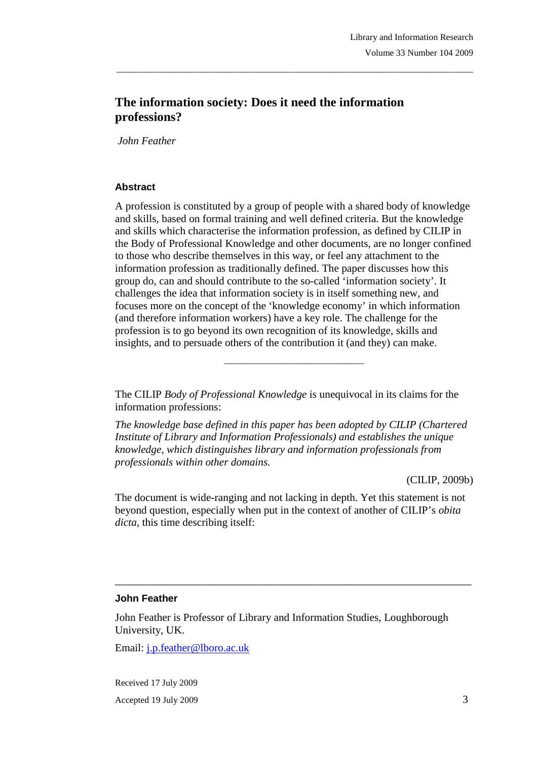# **The information society: Does it need the information professions?**

 *John Feather* 

### **Abstract**

A profession is constituted by a group of people with a shared body of knowledge and skills, based on formal training and well defined criteria. But the knowledge and skills which characterise the information profession, as defined by CILIP in the Body of Professional Knowledge and other documents, are no longer confined to those who describe themselves in this way, or feel any attachment to the information profession as traditionally defined. The paper discusses how this group do, can and should contribute to the so-called 'information society'. It challenges the idea that information society is in itself something new, and focuses more on the concept of the 'knowledge economy' in which information (and therefore information workers) have a key role. The challenge for the profession is to go beyond its own recognition of its knowledge, skills and insights, and to persuade others of the contribution it (and they) can make.

\_\_\_\_\_\_\_\_\_\_\_\_\_\_\_\_\_\_\_\_\_\_\_\_\_\_\_\_\_\_\_\_\_\_\_\_\_\_\_\_\_\_\_\_\_\_\_\_\_\_\_\_\_\_\_\_\_\_\_\_\_\_\_\_\_\_\_\_\_\_\_\_\_\_\_\_\_\_\_

The CILIP *Body of Professional Knowledge* is unequivocal in its claims for the information professions:

\_\_\_\_\_\_\_\_\_\_\_\_\_\_\_\_\_\_\_\_\_\_\_\_\_\_\_\_\_\_\_

*The knowledge base defined in this paper has been adopted by CILIP (Chartered Institute of Library and Information Professionals) and establishes the unique knowledge, which distinguishes library and information professionals from professionals within other domains.*

(CILIP, 2009b)

The document is wide-ranging and not lacking in depth. Yet this statement is not beyond question, especially when put in the context of another of CILIP's *obita dicta*, this time describing itself:

\_\_\_\_\_\_\_\_\_\_\_\_\_\_\_\_\_\_\_\_\_\_\_\_\_\_\_\_\_\_\_\_\_\_\_\_\_\_\_\_\_\_\_\_\_\_\_\_\_\_\_\_\_\_\_\_\_\_\_\_\_\_\_\_\_\_\_\_\_\_\_

#### **John Feather**

John Feather is Professor of Library and Information Studies, Loughborough University, UK.

Email: j.p.feather@lboro.ac.uk

Received 17 July 2009 Accepted 19 July 2009 3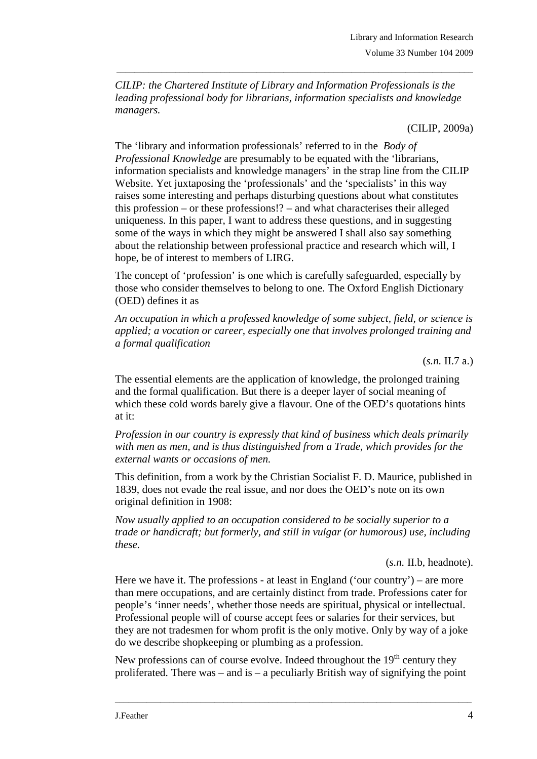*CILIP: the Chartered Institute of Library and Information Professionals is the leading professional body for librarians, information specialists and knowledge managers.* 

\_\_\_\_\_\_\_\_\_\_\_\_\_\_\_\_\_\_\_\_\_\_\_\_\_\_\_\_\_\_\_\_\_\_\_\_\_\_\_\_\_\_\_\_\_\_\_\_\_\_\_\_\_\_\_\_\_\_\_\_\_\_\_\_\_\_\_\_\_\_\_\_\_\_\_\_\_\_\_

(CILIP, 2009a)

The 'library and information professionals' referred to in the *Body of Professional Knowledge* are presumably to be equated with the 'librarians, information specialists and knowledge managers' in the strap line from the CILIP Website. Yet juxtaposing the 'professionals' and the 'specialists' in this way raises some interesting and perhaps disturbing questions about what constitutes this profession – or these professions!? – and what characterises their alleged uniqueness. In this paper, I want to address these questions, and in suggesting some of the ways in which they might be answered I shall also say something about the relationship between professional practice and research which will, I hope, be of interest to members of LIRG.

The concept of 'profession' is one which is carefully safeguarded, especially by those who consider themselves to belong to one. The Oxford English Dictionary (OED) defines it as

*An occupation in which a professed knowledge of some subject, field, or science is applied; a vocation or career, especially one that involves prolonged training and a formal qualification*

(*s.n.* II.7 a.)

The essential elements are the application of knowledge, the prolonged training and the formal qualification. But there is a deeper layer of social meaning of which these cold words barely give a flavour. One of the OED's quotations hints at it:

*Profession in our country is expressly that kind of business which deals primarily with men as men, and is thus distinguished from a Trade, which provides for the external wants or occasions of men.* 

This definition, from a work by the Christian Socialist F. D. Maurice, published in 1839, does not evade the real issue, and nor does the OED's note on its own original definition in 1908:

*Now usually applied to an occupation considered to be socially superior to a trade or handicraft; but formerly, and still in vulgar (or humorous) use, including these.*

(*s.n.* II.b, headnote).

Here we have it. The professions - at least in England ('our country') – are more than mere occupations, and are certainly distinct from trade. Professions cater for people's 'inner needs', whether those needs are spiritual, physical or intellectual. Professional people will of course accept fees or salaries for their services, but they are not tradesmen for whom profit is the only motive. Only by way of a joke do we describe shopkeeping or plumbing as a profession.

New professions can of course evolve. Indeed throughout the 19<sup>th</sup> century they proliferated. There was – and is – a peculiarly British way of signifying the point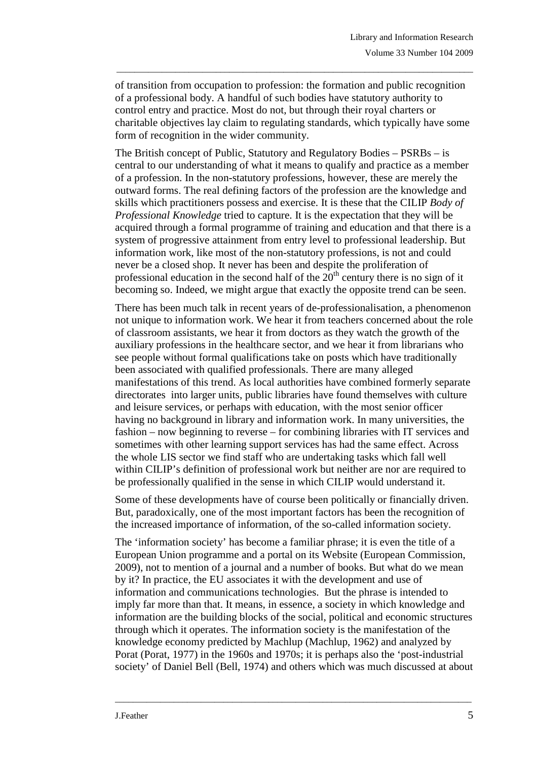of transition from occupation to profession: the formation and public recognition of a professional body. A handful of such bodies have statutory authority to control entry and practice. Most do not, but through their royal charters or charitable objectives lay claim to regulating standards, which typically have some form of recognition in the wider community.

\_\_\_\_\_\_\_\_\_\_\_\_\_\_\_\_\_\_\_\_\_\_\_\_\_\_\_\_\_\_\_\_\_\_\_\_\_\_\_\_\_\_\_\_\_\_\_\_\_\_\_\_\_\_\_\_\_\_\_\_\_\_\_\_\_\_\_\_\_\_\_\_\_\_\_\_\_\_\_

The British concept of Public, Statutory and Regulatory Bodies – PSRBs – is central to our understanding of what it means to qualify and practice as a member of a profession. In the non-statutory professions, however, these are merely the outward forms. The real defining factors of the profession are the knowledge and skills which practitioners possess and exercise. It is these that the CILIP *Body of Professional Knowledge* tried to capture. It is the expectation that they will be acquired through a formal programme of training and education and that there is a system of progressive attainment from entry level to professional leadership. But information work, like most of the non-statutory professions, is not and could never be a closed shop. It never has been and despite the proliferation of professional education in the second half of the  $20<sup>th</sup>$  century there is no sign of it becoming so. Indeed, we might argue that exactly the opposite trend can be seen.

There has been much talk in recent years of de-professionalisation, a phenomenon not unique to information work. We hear it from teachers concerned about the role of classroom assistants, we hear it from doctors as they watch the growth of the auxiliary professions in the healthcare sector, and we hear it from librarians who see people without formal qualifications take on posts which have traditionally been associated with qualified professionals. There are many alleged manifestations of this trend. As local authorities have combined formerly separate directorates into larger units, public libraries have found themselves with culture and leisure services, or perhaps with education, with the most senior officer having no background in library and information work. In many universities, the fashion – now beginning to reverse – for combining libraries with IT services and sometimes with other learning support services has had the same effect. Across the whole LIS sector we find staff who are undertaking tasks which fall well within CILIP's definition of professional work but neither are nor are required to be professionally qualified in the sense in which CILIP would understand it.

Some of these developments have of course been politically or financially driven. But, paradoxically, one of the most important factors has been the recognition of the increased importance of information, of the so-called information society.

The 'information society' has become a familiar phrase; it is even the title of a European Union programme and a portal on its Website (European Commission, 2009), not to mention of a journal and a number of books. But what do we mean by it? In practice, the EU associates it with the development and use of information and communications technologies. But the phrase is intended to imply far more than that. It means, in essence, a society in which knowledge and information are the building blocks of the social, political and economic structures through which it operates. The information society is the manifestation of the knowledge economy predicted by Machlup (Machlup, 1962) and analyzed by Porat (Porat, 1977) in the 1960s and 1970s; it is perhaps also the 'post-industrial society' of Daniel Bell (Bell, 1974) and others which was much discussed at about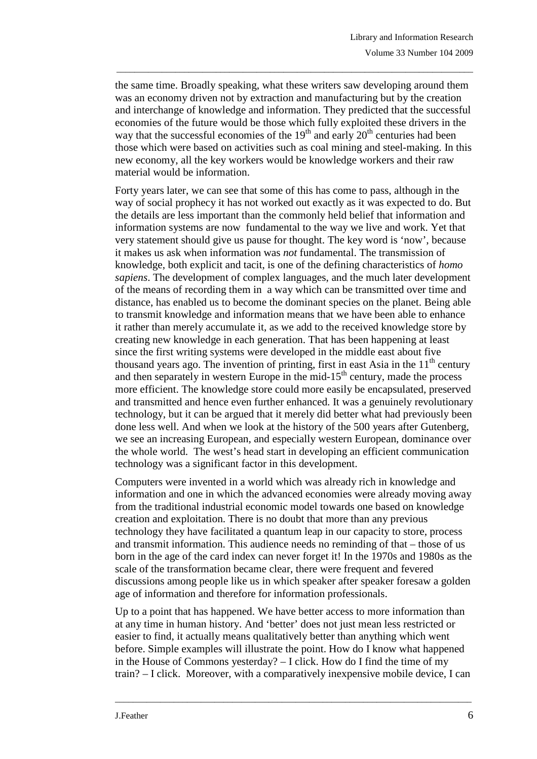the same time. Broadly speaking, what these writers saw developing around them was an economy driven not by extraction and manufacturing but by the creation and interchange of knowledge and information. They predicted that the successful economies of the future would be those which fully exploited these drivers in the way that the successful economies of the  $19<sup>th</sup>$  and early  $20<sup>th</sup>$  centuries had been those which were based on activities such as coal mining and steel-making. In this new economy, all the key workers would be knowledge workers and their raw material would be information.

\_\_\_\_\_\_\_\_\_\_\_\_\_\_\_\_\_\_\_\_\_\_\_\_\_\_\_\_\_\_\_\_\_\_\_\_\_\_\_\_\_\_\_\_\_\_\_\_\_\_\_\_\_\_\_\_\_\_\_\_\_\_\_\_\_\_\_\_\_\_\_\_\_\_\_\_\_\_\_

Forty years later, we can see that some of this has come to pass, although in the way of social prophecy it has not worked out exactly as it was expected to do. But the details are less important than the commonly held belief that information and information systems are now fundamental to the way we live and work. Yet that very statement should give us pause for thought. The key word is 'now', because it makes us ask when information was *not* fundamental. The transmission of knowledge, both explicit and tacit, is one of the defining characteristics of *homo sapiens*. The development of complex languages, and the much later development of the means of recording them in a way which can be transmitted over time and distance, has enabled us to become the dominant species on the planet. Being able to transmit knowledge and information means that we have been able to enhance it rather than merely accumulate it, as we add to the received knowledge store by creating new knowledge in each generation. That has been happening at least since the first writing systems were developed in the middle east about five thousand years ago. The invention of printing, first in east Asia in the  $11<sup>th</sup>$  century and then separately in western Europe in the mid-15<sup>th</sup> century, made the process more efficient. The knowledge store could more easily be encapsulated, preserved and transmitted and hence even further enhanced. It was a genuinely revolutionary technology, but it can be argued that it merely did better what had previously been done less well. And when we look at the history of the 500 years after Gutenberg, we see an increasing European, and especially western European, dominance over the whole world. The west's head start in developing an efficient communication technology was a significant factor in this development.

Computers were invented in a world which was already rich in knowledge and information and one in which the advanced economies were already moving away from the traditional industrial economic model towards one based on knowledge creation and exploitation. There is no doubt that more than any previous technology they have facilitated a quantum leap in our capacity to store, process and transmit information. This audience needs no reminding of that – those of us born in the age of the card index can never forget it! In the 1970s and 1980s as the scale of the transformation became clear, there were frequent and fevered discussions among people like us in which speaker after speaker foresaw a golden age of information and therefore for information professionals.

Up to a point that has happened. We have better access to more information than at any time in human history. And 'better' does not just mean less restricted or easier to find, it actually means qualitatively better than anything which went before. Simple examples will illustrate the point. How do I know what happened in the House of Commons yesterday? – I click. How do I find the time of my train? – I click. Moreover, with a comparatively inexpensive mobile device, I can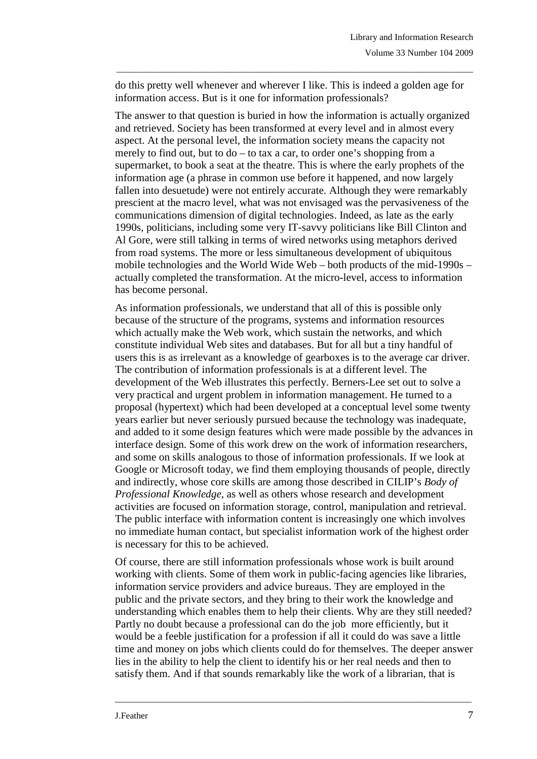do this pretty well whenever and wherever I like. This is indeed a golden age for information access. But is it one for information professionals?

\_\_\_\_\_\_\_\_\_\_\_\_\_\_\_\_\_\_\_\_\_\_\_\_\_\_\_\_\_\_\_\_\_\_\_\_\_\_\_\_\_\_\_\_\_\_\_\_\_\_\_\_\_\_\_\_\_\_\_\_\_\_\_\_\_\_\_\_\_\_\_\_\_\_\_\_\_\_\_

The answer to that question is buried in how the information is actually organized and retrieved. Society has been transformed at every level and in almost every aspect. At the personal level, the information society means the capacity not merely to find out, but to do – to tax a car, to order one's shopping from a supermarket, to book a seat at the theatre. This is where the early prophets of the information age (a phrase in common use before it happened, and now largely fallen into desuetude) were not entirely accurate. Although they were remarkably prescient at the macro level, what was not envisaged was the pervasiveness of the communications dimension of digital technologies. Indeed, as late as the early 1990s, politicians, including some very IT-savvy politicians like Bill Clinton and Al Gore, were still talking in terms of wired networks using metaphors derived from road systems. The more or less simultaneous development of ubiquitous mobile technologies and the World Wide Web – both products of the mid-1990s – actually completed the transformation. At the micro-level, access to information has become personal.

As information professionals, we understand that all of this is possible only because of the structure of the programs, systems and information resources which actually make the Web work, which sustain the networks, and which constitute individual Web sites and databases. But for all but a tiny handful of users this is as irrelevant as a knowledge of gearboxes is to the average car driver. The contribution of information professionals is at a different level. The development of the Web illustrates this perfectly. Berners-Lee set out to solve a very practical and urgent problem in information management. He turned to a proposal (hypertext) which had been developed at a conceptual level some twenty years earlier but never seriously pursued because the technology was inadequate, and added to it some design features which were made possible by the advances in interface design. Some of this work drew on the work of information researchers, and some on skills analogous to those of information professionals. If we look at Google or Microsoft today, we find them employing thousands of people, directly and indirectly, whose core skills are among those described in CILIP's *Body of Professional Knowledge*, as well as others whose research and development activities are focused on information storage, control, manipulation and retrieval. The public interface with information content is increasingly one which involves no immediate human contact, but specialist information work of the highest order is necessary for this to be achieved.

Of course, there are still information professionals whose work is built around working with clients. Some of them work in public-facing agencies like libraries, information service providers and advice bureaus. They are employed in the public and the private sectors, and they bring to their work the knowledge and understanding which enables them to help their clients. Why are they still needed? Partly no doubt because a professional can do the job more efficiently, but it would be a feeble justification for a profession if all it could do was save a little time and money on jobs which clients could do for themselves. The deeper answer lies in the ability to help the client to identify his or her real needs and then to satisfy them. And if that sounds remarkably like the work of a librarian, that is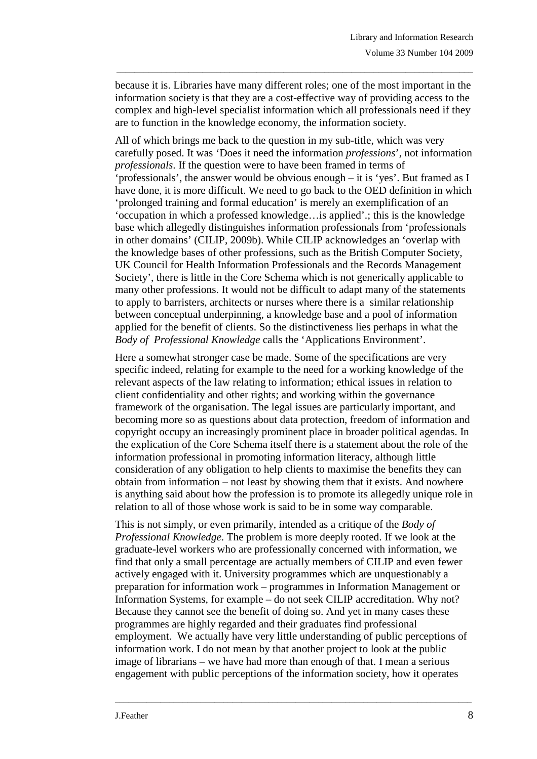because it is. Libraries have many different roles; one of the most important in the information society is that they are a cost-effective way of providing access to the complex and high-level specialist information which all professionals need if they are to function in the knowledge economy, the information society.

\_\_\_\_\_\_\_\_\_\_\_\_\_\_\_\_\_\_\_\_\_\_\_\_\_\_\_\_\_\_\_\_\_\_\_\_\_\_\_\_\_\_\_\_\_\_\_\_\_\_\_\_\_\_\_\_\_\_\_\_\_\_\_\_\_\_\_\_\_\_\_\_\_\_\_\_\_\_\_

All of which brings me back to the question in my sub-title, which was very carefully posed. It was 'Does it need the information *professions*', not information *professionals*. If the question were to have been framed in terms of 'professionals', the answer would be obvious enough – it is 'yes'. But framed as I have done, it is more difficult. We need to go back to the OED definition in which 'prolonged training and formal education' is merely an exemplification of an 'occupation in which a professed knowledge…is applied'.; this is the knowledge base which allegedly distinguishes information professionals from 'professionals in other domains' (CILIP, 2009b). While CILIP acknowledges an 'overlap with the knowledge bases of other professions, such as the British Computer Society, UK Council for Health Information Professionals and the Records Management Society', there is little in the Core Schema which is not generically applicable to many other professions. It would not be difficult to adapt many of the statements to apply to barristers, architects or nurses where there is a similar relationship between conceptual underpinning, a knowledge base and a pool of information applied for the benefit of clients. So the distinctiveness lies perhaps in what the *Body of Professional Knowledge* calls the 'Applications Environment'.

Here a somewhat stronger case be made. Some of the specifications are very specific indeed, relating for example to the need for a working knowledge of the relevant aspects of the law relating to information; ethical issues in relation to client confidentiality and other rights; and working within the governance framework of the organisation. The legal issues are particularly important, and becoming more so as questions about data protection, freedom of information and copyright occupy an increasingly prominent place in broader political agendas. In the explication of the Core Schema itself there is a statement about the role of the information professional in promoting information literacy, although little consideration of any obligation to help clients to maximise the benefits they can obtain from information – not least by showing them that it exists. And nowhere is anything said about how the profession is to promote its allegedly unique role in relation to all of those whose work is said to be in some way comparable.

This is not simply, or even primarily, intended as a critique of the *Body of Professional Knowledge*. The problem is more deeply rooted. If we look at the graduate-level workers who are professionally concerned with information, we find that only a small percentage are actually members of CILIP and even fewer actively engaged with it. University programmes which are unquestionably a preparation for information work – programmes in Information Management or Information Systems, for example – do not seek CILIP accreditation. Why not? Because they cannot see the benefit of doing so. And yet in many cases these programmes are highly regarded and their graduates find professional employment. We actually have very little understanding of public perceptions of information work. I do not mean by that another project to look at the public image of librarians – we have had more than enough of that. I mean a serious engagement with public perceptions of the information society, how it operates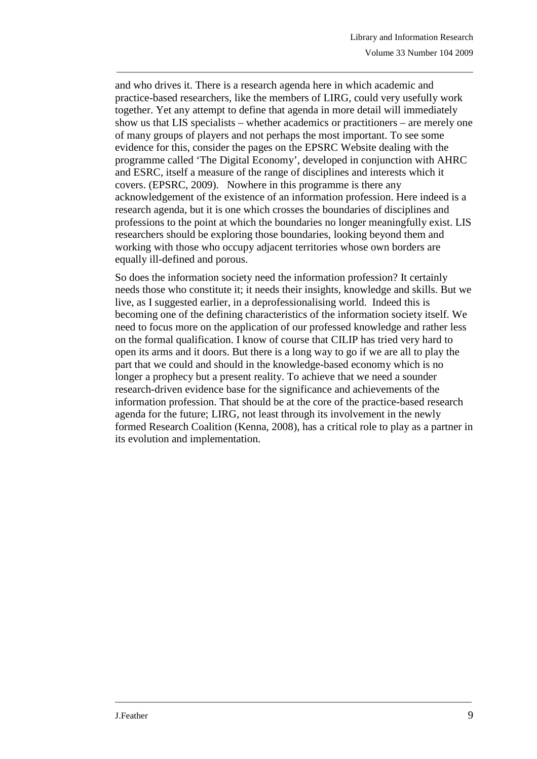and who drives it. There is a research agenda here in which academic and practice-based researchers, like the members of LIRG, could very usefully work together. Yet any attempt to define that agenda in more detail will immediately show us that LIS specialists – whether academics or practitioners – are merely one of many groups of players and not perhaps the most important. To see some evidence for this, consider the pages on the EPSRC Website dealing with the programme called 'The Digital Economy', developed in conjunction with AHRC and ESRC, itself a measure of the range of disciplines and interests which it covers. (EPSRC, 2009). Nowhere in this programme is there any acknowledgement of the existence of an information profession. Here indeed is a research agenda, but it is one which crosses the boundaries of disciplines and professions to the point at which the boundaries no longer meaningfully exist. LIS researchers should be exploring those boundaries, looking beyond them and working with those who occupy adjacent territories whose own borders are equally ill-defined and porous.

\_\_\_\_\_\_\_\_\_\_\_\_\_\_\_\_\_\_\_\_\_\_\_\_\_\_\_\_\_\_\_\_\_\_\_\_\_\_\_\_\_\_\_\_\_\_\_\_\_\_\_\_\_\_\_\_\_\_\_\_\_\_\_\_\_\_\_\_\_\_\_\_\_\_\_\_\_\_\_

So does the information society need the information profession? It certainly needs those who constitute it; it needs their insights, knowledge and skills. But we live, as I suggested earlier, in a deprofessionalising world. Indeed this is becoming one of the defining characteristics of the information society itself. We need to focus more on the application of our professed knowledge and rather less on the formal qualification. I know of course that CILIP has tried very hard to open its arms and it doors. But there is a long way to go if we are all to play the part that we could and should in the knowledge-based economy which is no longer a prophecy but a present reality. To achieve that we need a sounder research-driven evidence base for the significance and achievements of the information profession. That should be at the core of the practice-based research agenda for the future; LIRG, not least through its involvement in the newly formed Research Coalition (Kenna, 2008), has a critical role to play as a partner in its evolution and implementation.